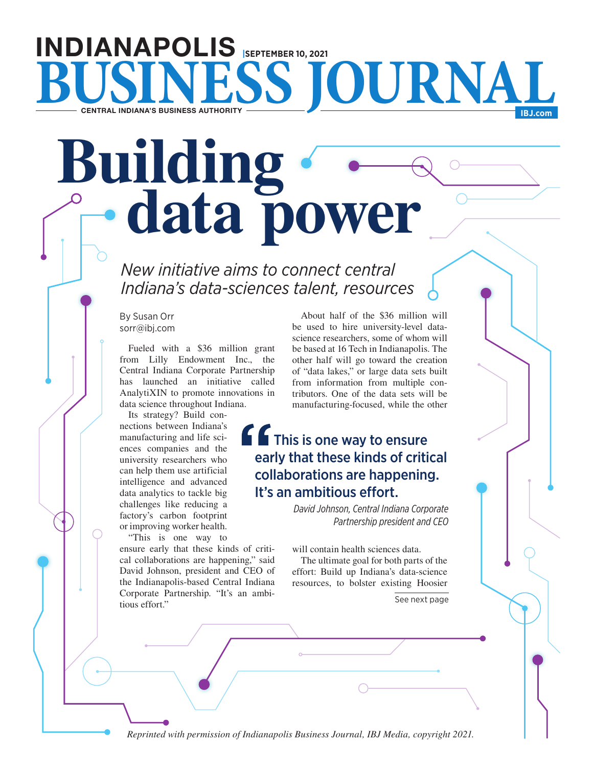# INDIANAPOLIS **|SEPTEMBER 10, 2021 BUSINESS JOURNAL**

# **Building Compared Building**

*New initiative aims to connect central Indiana's data-sciences talent, resources*

By Susan Orr sorr@ibj.com

Fueled with a \$36 million grant from Lilly Endowment Inc., the Central Indiana Corporate Partnership has launched an initiative called AnalytiXIN to promote innovations in data science throughout Indiana.

Its strategy? Build connections between Indiana's manufacturing and life sciences companies and the university researchers who can help them use artificial intelligence and advanced data analytics to tackle big challenges like reducing a factory's carbon footprint or improving worker health.

"This is one way to ensure early that these kinds of critical collaborations are happening," said David Johnson, president and CEO of the Indianapolis-based Central Indiana Corporate Partnership. "It's an ambitious effort."

About half of the \$36 million will be used to hire university-level datascience researchers, some of whom will be based at 16 Tech in Indianapolis. The other half will go toward the creation of "data lakes," or large data sets built from information from multiple contributors. One of the data sets will be manufacturing-focused, while the other

# **f f** This is one way to ensure early that these kinds of critical collaborations are happening. It's an ambitious effort.

*David Johnson, Central Indiana Corporate Partnership president and CEO*

will contain health sciences data.

The ultimate goal for both parts of the effort: Build up Indiana's data-science resources, to bolster existing Hoosier

See next page

*Reprinted with permission of Indianapolis Business Journal, IBJ Media, copyright 2021.*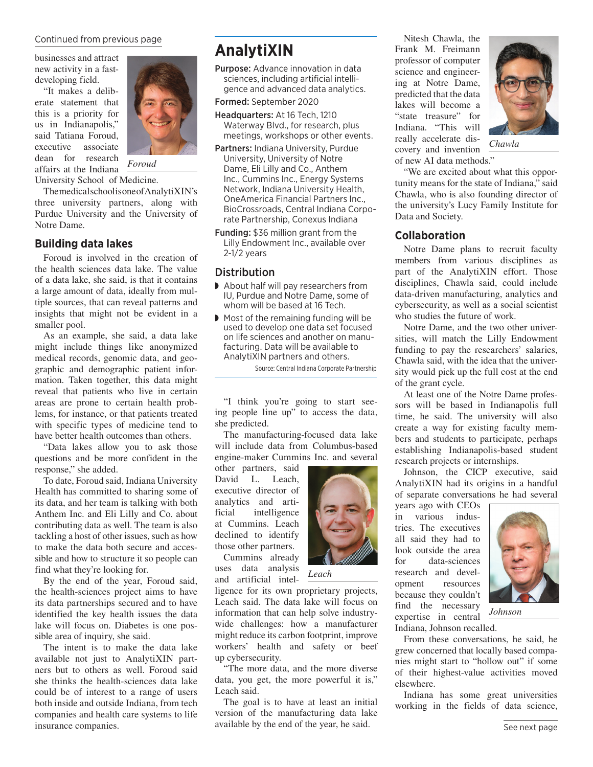### Continued from previous page

businesses and attract new activity in a fastdeveloping field.

"It makes a deliberate statement that this is a priority for us in Indianapolis," said Tatiana Foroud, executive associate dean for research affairs at the Indiana



*Foroud*

University School of Medicine.

The medical school is one of AnalytiXIN's three university partners, along with Purdue University and the University of Notre Dame.

### **Building data lakes**

Foroud is involved in the creation of the health sciences data lake. The value of a data lake, she said, is that it contains a large amount of data, ideally from multiple sources, that can reveal patterns and insights that might not be evident in a smaller pool.

As an example, she said, a data lake might include things like anonymized medical records, genomic data, and geographic and demographic patient information. Taken together, this data might reveal that patients who live in certain areas are prone to certain health problems, for instance, or that patients treated with specific types of medicine tend to have better health outcomes than others.

"Data lakes allow you to ask those questions and be more confident in the response," she added.

To date, Foroud said, Indiana University Health has committed to sharing some of its data, and her team is talking with both Anthem Inc. and Eli Lilly and Co. about contributing data as well. The team is also tackling a host of other issues, such as how to make the data both secure and accessible and how to structure it so people can find what they're looking for.

By the end of the year, Foroud said, the health-sciences project aims to have its data partnerships secured and to have identified the key health issues the data lake will focus on. Diabetes is one possible area of inquiry, she said.

The intent is to make the data lake available not just to AnalytiXIN partners but to others as well. Foroud said she thinks the health-sciences data lake could be of interest to a range of users both inside and outside Indiana, from tech companies and health care systems to life insurance companies.

## **AnalytiXIN**

Purpose: Advance innovation in data sciences, including artificial intelligence and advanced data analytics.

### Formed: September 2020

Headquarters: At 16 Tech, 1210 Waterway Blvd., for research, plus meetings, workshops or other events.

- Partners: Indiana University, Purdue University, University of Notre Dame, Eli Lilly and Co., Anthem Inc., Cummins Inc., Energy Systems Network, Indiana University Health, OneAmerica Financial Partners Inc., BioCrossroads, Central Indiana Corporate Partnership, Conexus Indiana
- Funding: \$36 million grant from the Lilly Endowment Inc., available over  $2-1/2$  years

### **Distribution**

- ◗ About half will pay researchers from IU, Purdue and Notre Dame, some of whom will be based at 16 Tech.
- Most of the remaining funding will be used to develop one data set focused on life sciences and another on manufacturing. Data will be available to AnalytiXIN partners and others.

Source: Central Indiana Corporate Partnership

"I think you're going to start seeing people line up" to access the data, she predicted.

The manufacturing-focused data lake will include data from Columbus-based engine-maker Cummins Inc. and several

other partners, said David L. Leach, executive director of analytics and artificial intelligence at Cummins. Leach declined to identify those other partners.

Cummins already uses data analysis and artificial intel-

ligence for its own proprietary projects, Leach said. The data lake will focus on information that can help solve industrywide challenges: how a manufacturer might reduce its carbon footprint, improve workers' health and safety or beef up cybersecurity.

*Leach*

"The more data, and the more diverse data, you get, the more powerful it is," Leach said.

The goal is to have at least an initial version of the manufacturing data lake available by the end of the year, he said.

Nitesh Chawla, the Frank M. Freimann professor of computer science and engineering at Notre Dame, predicted that the data lakes will become a "state treasure" for Indiana. "This will really accelerate discovery and invention of new AI data methods."



*Chawla*

"We are excited about what this opportunity means for the state of Indiana," said Chawla, who is also founding director of the university's Lucy Family Institute for Data and Society.

### **Collaboration**

Notre Dame plans to recruit faculty members from various disciplines as part of the AnalytiXIN effort. Those disciplines, Chawla said, could include data-driven manufacturing, analytics and cybersecurity, as well as a social scientist who studies the future of work.

Notre Dame, and the two other universities, will match the Lilly Endowment funding to pay the researchers' salaries, Chawla said, with the idea that the university would pick up the full cost at the end of the grant cycle.

At least one of the Notre Dame professors will be based in Indianapolis full time, he said. The university will also create a way for existing faculty members and students to participate, perhaps establishing Indianapolis-based student research projects or internships.

Johnson, the CICP executive, said AnalytiXIN had its origins in a handful of separate conversations he had several

years ago with CEOs in various industries. The executives all said they had to look outside the area for data-sciences research and development resources because they couldn't find the necessary expertise in central Indiana, Johnson recalled.



*Johnson*

From these conversations, he said, he grew concerned that locally based companies might start to "hollow out" if some of their highest-value activities moved elsewhere.

Indiana has some great universities working in the fields of data science,